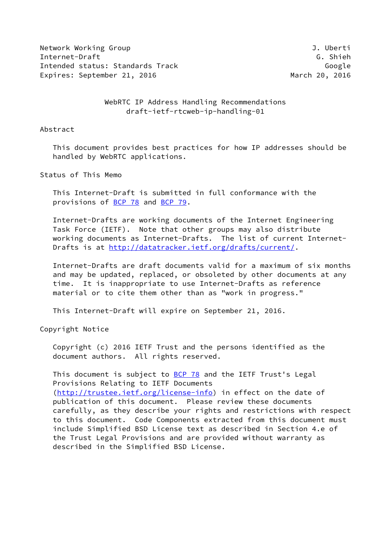Network Working Group **J. Uberti** Internet-Draft G. Shieh Intended status: Standards Track Google Google Expires: September 21, 2016 March 20, 2016

 WebRTC IP Address Handling Recommendations draft-ietf-rtcweb-ip-handling-01

# Abstract

 This document provides best practices for how IP addresses should be handled by WebRTC applications.

# Status of This Memo

 This Internet-Draft is submitted in full conformance with the provisions of [BCP 78](https://datatracker.ietf.org/doc/pdf/bcp78) and [BCP 79](https://datatracker.ietf.org/doc/pdf/bcp79).

 Internet-Drafts are working documents of the Internet Engineering Task Force (IETF). Note that other groups may also distribute working documents as Internet-Drafts. The list of current Internet- Drafts is at<http://datatracker.ietf.org/drafts/current/>.

 Internet-Drafts are draft documents valid for a maximum of six months and may be updated, replaced, or obsoleted by other documents at any time. It is inappropriate to use Internet-Drafts as reference material or to cite them other than as "work in progress."

This Internet-Draft will expire on September 21, 2016.

Copyright Notice

 Copyright (c) 2016 IETF Trust and the persons identified as the document authors. All rights reserved.

This document is subject to  $BCP$  78 and the IETF Trust's Legal Provisions Relating to IETF Documents [\(http://trustee.ietf.org/license-info](http://trustee.ietf.org/license-info)) in effect on the date of publication of this document. Please review these documents carefully, as they describe your rights and restrictions with respect to this document. Code Components extracted from this document must include Simplified BSD License text as described in Section 4.e of the Trust Legal Provisions and are provided without warranty as described in the Simplified BSD License.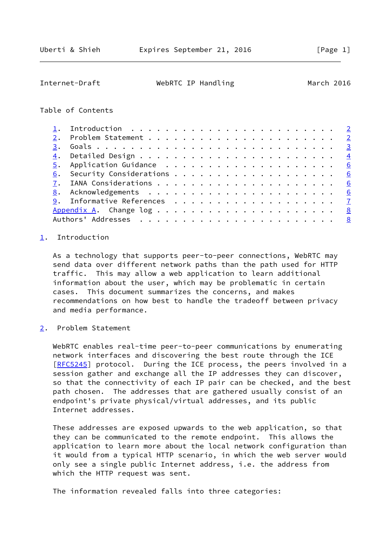# <span id="page-1-1"></span>Internet-Draft WebRTC IP Handling March 2016

# Table of Contents

| 3. |                         |  |
|----|-------------------------|--|
|    |                         |  |
|    |                         |  |
|    |                         |  |
|    |                         |  |
|    |                         |  |
|    |                         |  |
|    | $\overline{\mathbf{8}}$ |  |
|    |                         |  |

# <span id="page-1-0"></span>[1](#page-1-0). Introduction

 As a technology that supports peer-to-peer connections, WebRTC may send data over different network paths than the path used for HTTP traffic. This may allow a web application to learn additional information about the user, which may be problematic in certain cases. This document summarizes the concerns, and makes recommendations on how best to handle the tradeoff between privacy and media performance.

<span id="page-1-2"></span>[2](#page-1-2). Problem Statement

 WebRTC enables real-time peer-to-peer communications by enumerating network interfaces and discovering the best route through the ICE [\[RFC5245](https://datatracker.ietf.org/doc/pdf/rfc5245)] protocol. During the ICE process, the peers involved in a session gather and exchange all the IP addresses they can discover, so that the connectivity of each IP pair can be checked, and the best path chosen. The addresses that are gathered usually consist of an endpoint's private physical/virtual addresses, and its public Internet addresses.

 These addresses are exposed upwards to the web application, so that they can be communicated to the remote endpoint. This allows the application to learn more about the local network configuration than it would from a typical HTTP scenario, in which the web server would only see a single public Internet address, i.e. the address from which the HTTP request was sent.

The information revealed falls into three categories: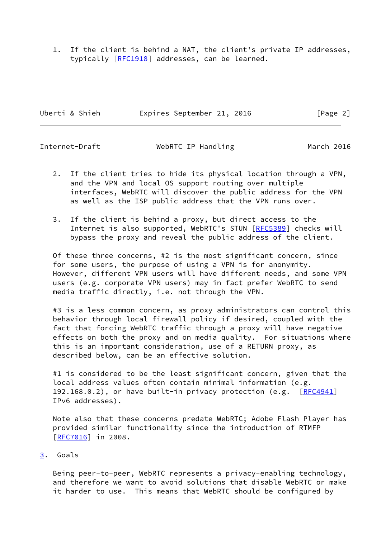1. If the client is behind a NAT, the client's private IP addresses, typically [[RFC1918](https://datatracker.ietf.org/doc/pdf/rfc1918)] addresses, can be learned.

Uberti & Shieh **Expires September 21, 2016** [Page 2]

<span id="page-2-1"></span>Internet-Draft WebRTC IP Handling March 2016

- 2. If the client tries to hide its physical location through a VPN, and the VPN and local OS support routing over multiple interfaces, WebRTC will discover the public address for the VPN as well as the ISP public address that the VPN runs over.
- 3. If the client is behind a proxy, but direct access to the Internet is also supported, WebRTC's STUN [[RFC5389](https://datatracker.ietf.org/doc/pdf/rfc5389)] checks will bypass the proxy and reveal the public address of the client.

 Of these three concerns, #2 is the most significant concern, since for some users, the purpose of using a VPN is for anonymity. However, different VPN users will have different needs, and some VPN users (e.g. corporate VPN users) may in fact prefer WebRTC to send media traffic directly, i.e. not through the VPN.

#3 is a less common concern, as proxy administrators can control this behavior through local firewall policy if desired, coupled with the fact that forcing WebRTC traffic through a proxy will have negative effects on both the proxy and on media quality. For situations where this is an important consideration, use of a RETURN proxy, as described below, can be an effective solution.

#1 is considered to be the least significant concern, given that the local address values often contain minimal information (e.g. 192.168.0.2), or have built-in privacy protection (e.g. [\[RFC4941](https://datatracker.ietf.org/doc/pdf/rfc4941)] IPv6 addresses).

 Note also that these concerns predate WebRTC; Adobe Flash Player has provided similar functionality since the introduction of RTMFP [\[RFC7016](https://datatracker.ietf.org/doc/pdf/rfc7016)] in 2008.

# <span id="page-2-0"></span>[3](#page-2-0). Goals

 Being peer-to-peer, WebRTC represents a privacy-enabling technology, and therefore we want to avoid solutions that disable WebRTC or make it harder to use. This means that WebRTC should be configured by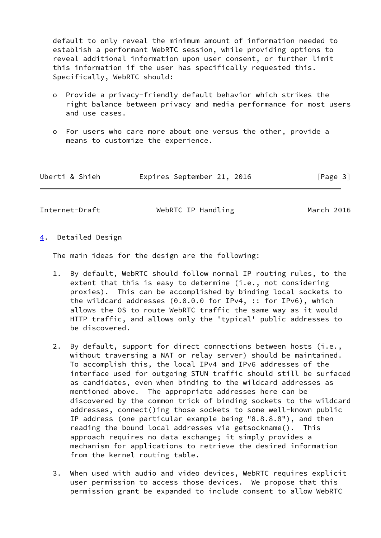default to only reveal the minimum amount of information needed to establish a performant WebRTC session, while providing options to reveal additional information upon user consent, or further limit this information if the user has specifically requested this. Specifically, WebRTC should:

- o Provide a privacy-friendly default behavior which strikes the right balance between privacy and media performance for most users and use cases.
- o For users who care more about one versus the other, provide a means to customize the experience.

| Uberti & Shieh |  | Expires September 21, 2016 |  |  |  | [Page 3] |  |
|----------------|--|----------------------------|--|--|--|----------|--|
|----------------|--|----------------------------|--|--|--|----------|--|

<span id="page-3-1"></span>Internet-Draft WebRTC IP Handling March 2016

<span id="page-3-0"></span>[4](#page-3-0). Detailed Design

The main ideas for the design are the following:

- 1. By default, WebRTC should follow normal IP routing rules, to the extent that this is easy to determine (i.e., not considering proxies). This can be accomplished by binding local sockets to the wildcard addresses (0.0.0.0 for IPv4, :: for IPv6), which allows the OS to route WebRTC traffic the same way as it would HTTP traffic, and allows only the 'typical' public addresses to be discovered.
- 2. By default, support for direct connections between hosts (i.e., without traversing a NAT or relay server) should be maintained. To accomplish this, the local IPv4 and IPv6 addresses of the interface used for outgoing STUN traffic should still be surfaced as candidates, even when binding to the wildcard addresses as mentioned above. The appropriate addresses here can be discovered by the common trick of binding sockets to the wildcard addresses, connect()ing those sockets to some well-known public IP address (one particular example being "8.8.8.8"), and then reading the bound local addresses via getsockname(). This approach requires no data exchange; it simply provides a mechanism for applications to retrieve the desired information from the kernel routing table.
- 3. When used with audio and video devices, WebRTC requires explicit user permission to access those devices. We propose that this permission grant be expanded to include consent to allow WebRTC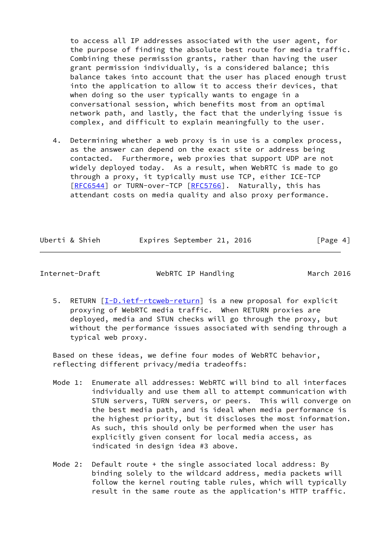to access all IP addresses associated with the user agent, for the purpose of finding the absolute best route for media traffic. Combining these permission grants, rather than having the user grant permission individually, is a considered balance; this balance takes into account that the user has placed enough trust into the application to allow it to access their devices, that when doing so the user typically wants to engage in a conversational session, which benefits most from an optimal network path, and lastly, the fact that the underlying issue is complex, and difficult to explain meaningfully to the user.

 4. Determining whether a web proxy is in use is a complex process, as the answer can depend on the exact site or address being contacted. Furthermore, web proxies that support UDP are not widely deployed today. As a result, when WebRTC is made to go through a proxy, it typically must use TCP, either ICE-TCP [\[RFC6544](https://datatracker.ietf.org/doc/pdf/rfc6544)] or TURN-over-TCP [\[RFC5766](https://datatracker.ietf.org/doc/pdf/rfc5766)]. Naturally, this has attendant costs on media quality and also proxy performance.

| Uberti & Shieh | Expires September 21, 2016 |  | [Page 4] |
|----------------|----------------------------|--|----------|

Internet-Draft WebRTC IP Handling March 2016

5. RETURN [[I-D.ietf-rtcweb-return](#page-6-5)] is a new proposal for explicit proxying of WebRTC media traffic. When RETURN proxies are deployed, media and STUN checks will go through the proxy, but without the performance issues associated with sending through a typical web proxy.

 Based on these ideas, we define four modes of WebRTC behavior, reflecting different privacy/media tradeoffs:

- Mode 1: Enumerate all addresses: WebRTC will bind to all interfaces individually and use them all to attempt communication with STUN servers, TURN servers, or peers. This will converge on the best media path, and is ideal when media performance is the highest priority, but it discloses the most information. As such, this should only be performed when the user has explicitly given consent for local media access, as indicated in design idea #3 above.
- Mode 2: Default route + the single associated local address: By binding solely to the wildcard address, media packets will follow the kernel routing table rules, which will typically result in the same route as the application's HTTP traffic.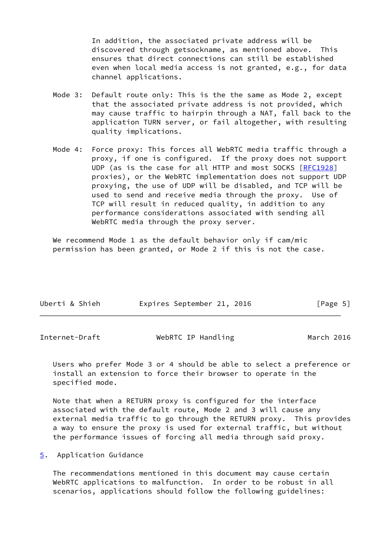In addition, the associated private address will be discovered through getsockname, as mentioned above. This ensures that direct connections can still be established even when local media access is not granted, e.g., for data channel applications.

- Mode 3: Default route only: This is the the same as Mode 2, except that the associated private address is not provided, which may cause traffic to hairpin through a NAT, fall back to the application TURN server, or fail altogether, with resulting quality implications.
- Mode 4: Force proxy: This forces all WebRTC media traffic through a proxy, if one is configured. If the proxy does not support UDP (as is the case for all HTTP and most SOCKS [\[RFC1928](https://datatracker.ietf.org/doc/pdf/rfc1928)] proxies), or the WebRTC implementation does not support UDP proxying, the use of UDP will be disabled, and TCP will be used to send and receive media through the proxy. Use of TCP will result in reduced quality, in addition to any performance considerations associated with sending all WebRTC media through the proxy server.

We recommend Mode 1 as the default behavior only if cam/mic permission has been granted, or Mode 2 if this is not the case.

| Uberti & Shieh | Expires September 21, 2016 |  | [Page 5] |
|----------------|----------------------------|--|----------|
|----------------|----------------------------|--|----------|

<span id="page-5-1"></span>

| Internet-Draft | WebRTC IP Handling | March 2016 |
|----------------|--------------------|------------|
|----------------|--------------------|------------|

 Users who prefer Mode 3 or 4 should be able to select a preference or install an extension to force their browser to operate in the specified mode.

 Note that when a RETURN proxy is configured for the interface associated with the default route, Mode 2 and 3 will cause any external media traffic to go through the RETURN proxy. This provides a way to ensure the proxy is used for external traffic, but without the performance issues of forcing all media through said proxy.

<span id="page-5-0"></span>[5](#page-5-0). Application Guidance

 The recommendations mentioned in this document may cause certain WebRTC applications to malfunction. In order to be robust in all scenarios, applications should follow the following guidelines: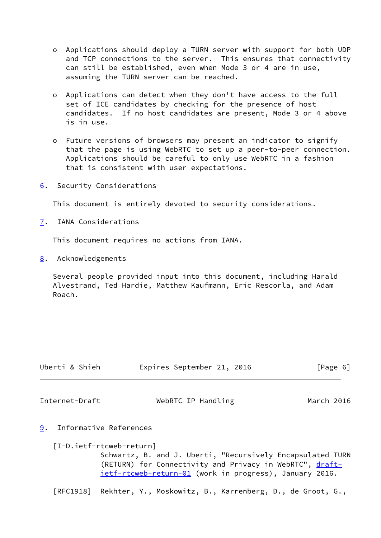- o Applications should deploy a TURN server with support for both UDP and TCP connections to the server. This ensures that connectivity can still be established, even when Mode 3 or 4 are in use, assuming the TURN server can be reached.
- o Applications can detect when they don't have access to the full set of ICE candidates by checking for the presence of host candidates. If no host candidates are present, Mode 3 or 4 above is in use.
- o Future versions of browsers may present an indicator to signify that the page is using WebRTC to set up a peer-to-peer connection. Applications should be careful to only use WebRTC in a fashion that is consistent with user expectations.
- <span id="page-6-0"></span>[6](#page-6-0). Security Considerations

This document is entirely devoted to security considerations.

<span id="page-6-1"></span>[7](#page-6-1). IANA Considerations

This document requires no actions from IANA.

<span id="page-6-2"></span>[8](#page-6-2). Acknowledgements

 Several people provided input into this document, including Harald Alvestrand, Ted Hardie, Matthew Kaufmann, Eric Rescorla, and Adam Roach.

| Uberti & Shieh | Expires September 21, 2016 | [Page 6] |
|----------------|----------------------------|----------|
|                |                            |          |

<span id="page-6-4"></span>Internet-Draft WebRTC IP Handling March 2016

<span id="page-6-3"></span>[9](#page-6-3). Informative References

<span id="page-6-5"></span> [I-D.ietf-rtcweb-return] Schwartz, B. and J. Uberti, "Recursively Encapsulated TURN (RETURN) for Connectivity and Privacy in WebRTC", [draft](https://datatracker.ietf.org/doc/pdf/draft-ietf-rtcweb-return-01) [ietf-rtcweb-return-01](https://datatracker.ietf.org/doc/pdf/draft-ietf-rtcweb-return-01) (work in progress), January 2016.

[RFC1918] Rekhter, Y., Moskowitz, B., Karrenberg, D., de Groot, G.,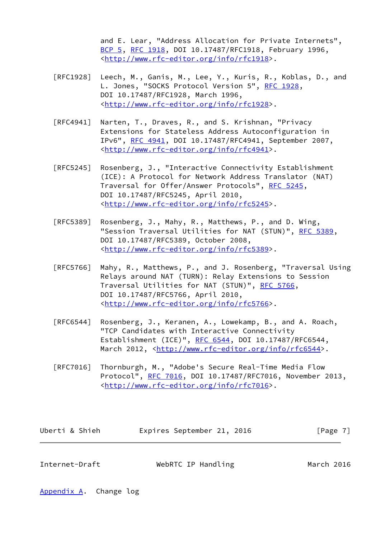and E. Lear, "Address Allocation for Private Internets", [BCP 5,](https://datatracker.ietf.org/doc/pdf/bcp5) [RFC 1918](https://datatracker.ietf.org/doc/pdf/rfc1918), DOI 10.17487/RFC1918, February 1996, <<http://www.rfc-editor.org/info/rfc1918>>.

- [RFC1928] Leech, M., Ganis, M., Lee, Y., Kuris, R., Koblas, D., and L. Jones, "SOCKS Protocol Version 5", [RFC 1928](https://datatracker.ietf.org/doc/pdf/rfc1928), DOI 10.17487/RFC1928, March 1996, <<http://www.rfc-editor.org/info/rfc1928>>.
- [RFC4941] Narten, T., Draves, R., and S. Krishnan, "Privacy Extensions for Stateless Address Autoconfiguration in IPv6", [RFC 4941](https://datatracker.ietf.org/doc/pdf/rfc4941), DOI 10.17487/RFC4941, September 2007, <<http://www.rfc-editor.org/info/rfc4941>>.
- [RFC5245] Rosenberg, J., "Interactive Connectivity Establishment (ICE): A Protocol for Network Address Translator (NAT) Traversal for Offer/Answer Protocols", [RFC 5245](https://datatracker.ietf.org/doc/pdf/rfc5245), DOI 10.17487/RFC5245, April 2010, <<http://www.rfc-editor.org/info/rfc5245>>.
- [RFC5389] Rosenberg, J., Mahy, R., Matthews, P., and D. Wing, "Session Traversal Utilities for NAT (STUN)", [RFC 5389](https://datatracker.ietf.org/doc/pdf/rfc5389), DOI 10.17487/RFC5389, October 2008, <<http://www.rfc-editor.org/info/rfc5389>>.
- [RFC5766] Mahy, R., Matthews, P., and J. Rosenberg, "Traversal Using Relays around NAT (TURN): Relay Extensions to Session Traversal Utilities for NAT (STUN)", [RFC 5766](https://datatracker.ietf.org/doc/pdf/rfc5766), DOI 10.17487/RFC5766, April 2010, <<http://www.rfc-editor.org/info/rfc5766>>.
- [RFC6544] Rosenberg, J., Keranen, A., Lowekamp, B., and A. Roach, "TCP Candidates with Interactive Connectivity Establishment (ICE)", [RFC 6544](https://datatracker.ietf.org/doc/pdf/rfc6544), DOI 10.17487/RFC6544, March 2012, [<http://www.rfc-editor.org/info/rfc6544](http://www.rfc-editor.org/info/rfc6544)>.
- [RFC7016] Thornburgh, M., "Adobe's Secure Real-Time Media Flow Protocol", [RFC 7016](https://datatracker.ietf.org/doc/pdf/rfc7016), DOI 10.17487/RFC7016, November 2013, <<http://www.rfc-editor.org/info/rfc7016>>.

| Uberti & Shieh |  | Expires September 21, 2016 |  |  | [Page 7] |
|----------------|--|----------------------------|--|--|----------|
|----------------|--|----------------------------|--|--|----------|

<span id="page-7-1"></span>Internet-Draft WebRTC IP Handling March 2016

<span id="page-7-0"></span>[Appendix A.](#page-7-0) Change log